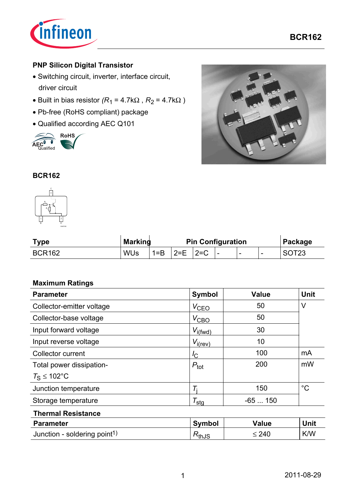

### **PNP Silicon Digital Transistor**

- Switching circuit, inverter, interface circuit, driver circuit
- Built in bias resistor  $(R_1 = 4.7k\Omega, R_2 = 4.7k\Omega)$
- Pb-free (RoHS compliant) package
- Qualified according AEC Q101





#### **BCR162**



| <b>Type</b>   | <b>Marking</b> | <b>Pin Configuration</b> |         |         | Package     |                          |   |  |
|---------------|----------------|--------------------------|---------|---------|-------------|--------------------------|---|--|
| <b>BCR162</b> | <b>WUs</b>     | $1 = B$                  | $ 2=$ F | $ 2= C$ | $\cdot$ $-$ | $\overline{\phantom{a}}$ | - |  |

#### **Maximum Ratings**

| <b>Parameter</b>          | <b>Symbol</b>         | <b>Value</b> | <b>Unit</b> |
|---------------------------|-----------------------|--------------|-------------|
| Collector-emitter voltage | $V_{\text{CEO}}$      | 50           | V           |
| Collector-base voltage    | $V_{\text{CBO}}$      | 50           |             |
| Input forward voltage     | $V_{i(fwd)}$          | 30           |             |
| Input reverse voltage     | $V_{i(rev)}$          | 10           |             |
| <b>Collector current</b>  | $I_{\rm C}$           | 100          | mA          |
| Total power dissipation-  | $P_{\text{tot}}$      | 200          | mW          |
| $T_{\rm S} \leq 102$ °C   |                       |              |             |
| Junction temperature      |                       | 150          | $^{\circ}C$ |
| Storage temperature       | $\tau_{\mathsf{sta}}$ | $-65150$     |             |

#### **Thermal Resistance**

| <b>Parameter</b>                         | <b>Symbol</b> | Value      | Unit |
|------------------------------------------|---------------|------------|------|
| Junction - soldering point <sup>1)</sup> | ™thJS         | $\geq 240$ | K/W  |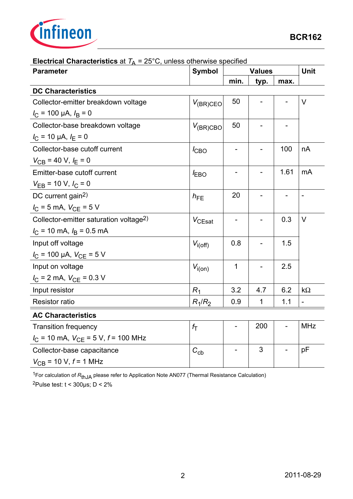

| <b>Electrical Unaracteristics</b> at $q = 25$ O, anicss officials specifica<br><b>Parameter</b> | <b>Symbol</b>    |                          | <b>Values</b> |      |                |  |
|-------------------------------------------------------------------------------------------------|------------------|--------------------------|---------------|------|----------------|--|
|                                                                                                 |                  | min.                     | typ.          | max. |                |  |
| <b>DC Characteristics</b>                                                                       |                  |                          |               |      |                |  |
| Collector-emitter breakdown voltage                                                             | $V_{(BR)CEO}$    | 50                       |               |      | $\vee$         |  |
| $I_{\rm C}$ = 100 µA, $I_{\rm B}$ = 0                                                           |                  |                          |               |      |                |  |
| Collector-base breakdown voltage                                                                | $V_{(BR)CBO}$    | 50                       |               |      |                |  |
| $I_{\rm C}$ = 10 µA, $I_{\rm E}$ = 0                                                            |                  |                          |               |      |                |  |
| Collector-base cutoff current                                                                   | $I_{CBO}$        |                          |               | 100  | nA             |  |
| $V_{CB}$ = 40 V, $I_E$ = 0                                                                      |                  |                          |               |      |                |  |
| Emitter-base cutoff current                                                                     | $I_{EBO}$        | $\overline{\phantom{0}}$ |               | 1.61 | mA             |  |
| $V_{EB}$ = 10 V, $I_C$ = 0                                                                      |                  |                          |               |      |                |  |
| DC current gain <sup>2)</sup>                                                                   | $h_{FE}$         | 20                       |               |      | $\blacksquare$ |  |
| $I_C = 5$ mA, $V_{CE} = 5$ V                                                                    |                  |                          |               |      |                |  |
| Collector-emitter saturation voltage <sup>2)</sup>                                              | $V_{CEsat}$      | $\overline{\phantom{0}}$ |               | 0.3  | V              |  |
| $I_{\rm C}$ = 10 mA, $I_{\rm B}$ = 0.5 mA                                                       |                  |                          |               |      |                |  |
| Input off voltage                                                                               | $V_{i(off)}$     | 0.8                      |               | 1.5  |                |  |
| $I_{\rm C}$ = 100 µA, $V_{\rm CE}$ = 5 V                                                        |                  |                          |               |      |                |  |
| Input on voltage                                                                                | $V_{i(0n)}$      | 1                        |               | 2.5  |                |  |
| $I_{\rm C}$ = 2 mA, $V_{\rm CE}$ = 0.3 V                                                        |                  |                          |               |      |                |  |
| Input resistor                                                                                  | $R_1$            | 3.2                      | 4.7           | 6.2  | $k\Omega$      |  |
| <b>Resistor ratio</b>                                                                           | $R_1/R_2$        | 0.9                      | $\mathbf 1$   | 1.1  |                |  |
| <b>AC Characteristics</b>                                                                       |                  |                          |               |      |                |  |
| <b>Transition frequency</b>                                                                     | $f_{\mathsf{T}}$ |                          | 200           |      | <b>MHz</b>     |  |
| $I_{\rm C}$ = 10 mA, $V_{\rm CE}$ = 5 V, $f$ = 100 MHz                                          |                  |                          |               |      |                |  |
| Collector-base capacitance                                                                      | $C_{\rm cb}$     |                          | 3             |      | рF             |  |
| $V_{CB}$ = 10 V, $f$ = 1 MHz                                                                    |                  |                          |               |      |                |  |

#### **Electrical Characteristics** at  $T_A = 25^{\circ}$ C, unless otherwise specified

1For calculation of *R*thJA please refer to Application Note AN077 (Thermal Resistance Calculation) 2Pulse test:  $t < 300 \mu s$ ;  $D < 2\%$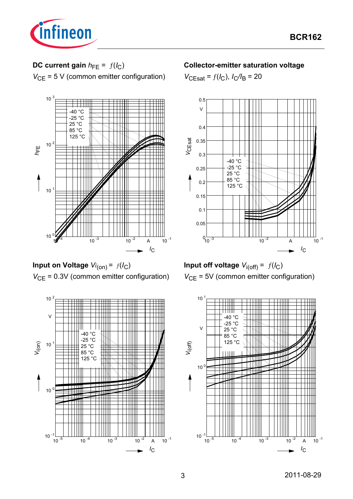

# **DC current gain**  $h_{FE} = f(l_C)$

*V*<sub>CE</sub> = 5 V (common emitter configuration)



**Input on Voltage** *Vi* (on) = ƒ(*I*C) *V*<sub>CE</sub> = 0.3V (common emitter configuration)



#### **Collector-emitter saturation voltage**

 $V_{\text{CEsat}} = f(I_{\text{C}}), I_{\text{C}}/I_{\text{B}} = 20$ 



**Input off voltage**  $V_{i(off)} = f(I_C)$ *V*<sub>CE</sub> = 5V (common emitter configuration)

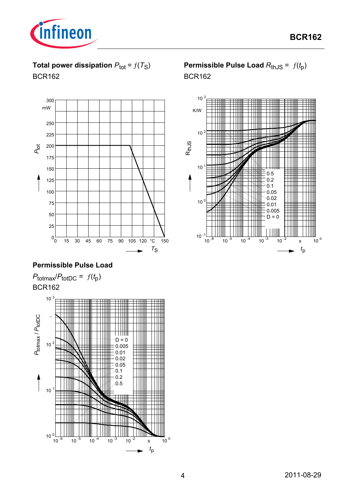

**Total power dissipation**  $P_{\text{tot}} = f(T_S)$ BCR162



## **Permissible Pulse Load**





**Permissible Pulse Load**  $R_{thJS} = f(t_p)$ BCR162

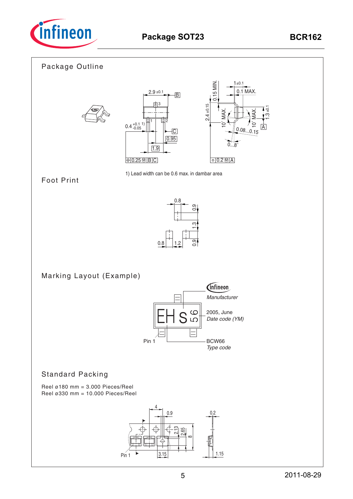